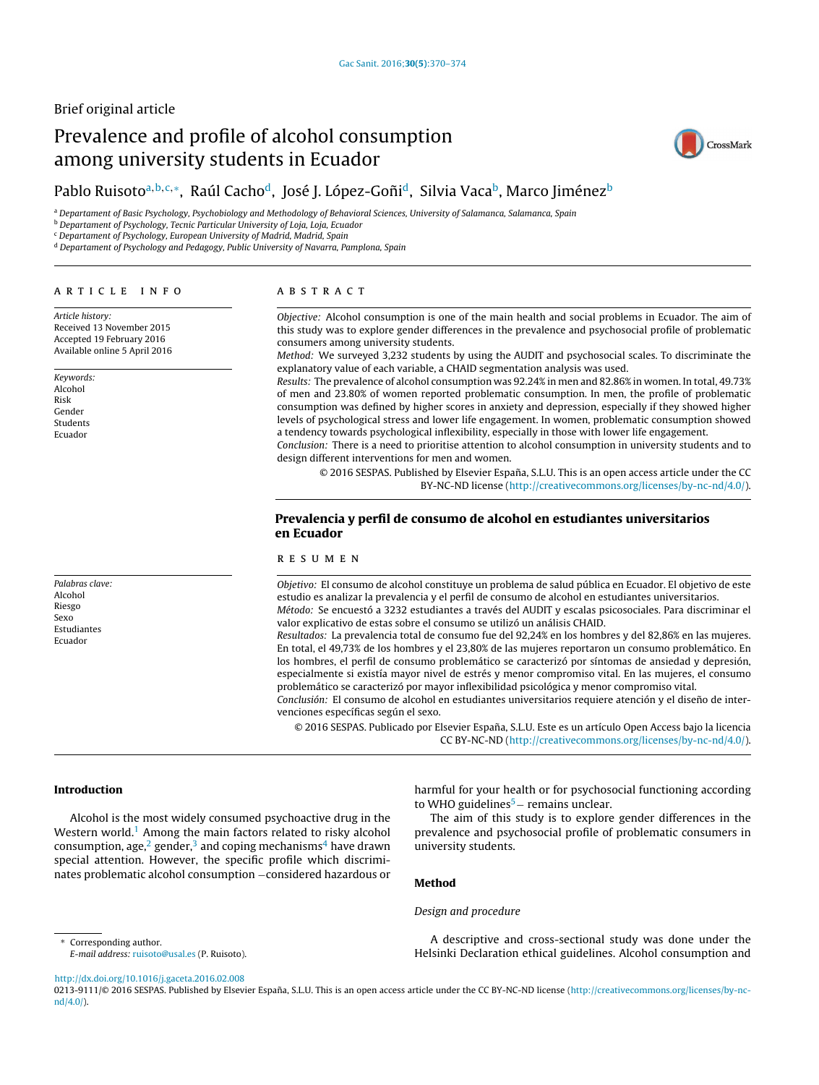## Brief original article

# Prevalence and profile of alcohol consumption among university students in Ecuador



## Pablo Ruisoto<sup>a,b,c,</sup>\*, Raúl Cacho<sup>d</sup>, José J. López-Goñi<sup>d</sup>, Silvia Vaca<sup>b</sup>, Marco Jiménez<sup>b</sup>

a Departament of Basic Psychology, Psychobiology and Methodology of Behavioral Sciences, University of Salamanca, Salamanca, Spain

**b Departament of Psychology, Tecnic Particular University of Loja, Loja, Ecuador** 

<sup>c</sup> Departament of Psychology, European University of Madrid, Madrid, Spain

<sup>d</sup> Departament of Psychology and Pedagogy, Public University of Navarra, Pamplona, Spain

#### a r t i c l e i n f o

Article history: Received 13 November 2015 Accepted 19 February 2016 Available online 5 April 2016

Keywords: Alcohol Risk Gender Students Ecuador

Palabras clave: Alcohol Riesgo Sexo Estudiantes Ecuador

## A B S T R A C T

Objective: Alcohol consumption is one of the main health and social problems in Ecuador. The aim of this study was to explore gender differences in the prevalence and psychosocial profile of problematic consumers among university students.

Method: We surveyed 3,232 students by using the AUDIT and psychosocial scales. To discriminate the explanatory value of each variable, a CHAID segmentation analysis was used.

Results: The prevalence of alcohol consumption was 92.24% in men and 82.86% in women. In total, 49.73% of men and 23.80% of women reported problematic consumption. In men, the profile of problematic consumption was defined by higher scores in anxiety and depression, especially if they showed higher levels of psychological stress and lower life engagement. In women, problematic consumption showed a tendency towards psychological inflexibility, especially in those with lower life engagement.

Conclusion: There is a need to prioritise attention to alcohol consumption in university students and to design different interventions for men and women.

© 2016 SESPAS. Published by Elsevier España, S.L.U. This is an open access article under the CC BY-NC-ND license [\(http://creativecommons.org/licenses/by-nc-nd/4.0/](http://creativecommons.org/licenses/by-nc-nd/4.0/)).

## Prevalencia y perfil de consumo de alcohol en estudiantes universitarios en Ecuador

#### r e s u m e n

Objetivo: El consumo de alcohol constituye un problema de salud pública en Ecuador. El objetivo de este estudio es analizar la prevalencia y el perfil de consumo de alcohol en estudiantes universitarios. Método: Se encuestó a 3232 estudiantes a través del AUDIT y escalas psicosociales. Para discriminar el

valor explicativo de estas sobre el consumo se utilizó un análisis CHAID. Resultados: La prevalencia total de consumo fue del 92,24% en los hombres y del 82,86% en las mujeres. En total, el 49,73% de los hombres y el 23,80% de las mujeres reportaron un consumo problemático. En los hombres, el perfil de consumo problemático se caracterizó por síntomas de ansiedad y depresión, especialmente si existía mayor nivel de estrés y menor compromiso vital. En las mujeres, el consumo problemático se caracterizó por mayor inflexibilidad psicológica y menor compromiso vital.

Conclusión: El consumo de alcohol en estudiantes universitarios requiere atención y el diseño de intervenciones específicas según el sexo.

© 2016 SESPAS. Publicado por Elsevier España, S.L.U. Este es un artículo Open Access bajo la licencia CC BY-NC-ND [\(http://creativecommons.org/licenses/by-nc-nd/4.0/](http://creativecommons.org/licenses/by-nc-nd/4.0/)).

#### Introduction

Alcohol is the most widely consumed psychoactive drug in the Western world.<sup>[1](#page-4-0)</sup> Among the main factors related to risky alcohol consumption, [a](#page-4-0)ge, $2$  gender, $3$  and coping mec[h](#page-4-0)anisms<sup>4</sup> have drawn special attention. However, the specific profile which discriminates problematic alcohol consumption –considered hazardous or

harmful for your health or for psychosocial functioning according to WHO guidelines<sup>5</sup> [−](#page-4-0) remains unclear.

The aim of this study is to explore gender differences in the prevalence and psychosocial profile of problematic consumers in university students.

## Method

## Design and procedure

A descriptive and cross-sectional study was done under the Helsinki Declaration ethical guidelines. Alcohol consumption and

∗ Corresponding author. E-mail address: [ruisoto@usal.es](mailto:ruisoto@usal.es) (P. Ruisoto).

[http://dx.doi.org/10.1016/j.gaceta.2016.02.008](dx.doi.org/10.1016/j.gaceta.2016.02.008)

0213-9111/© 2016 SESPAS. Published by Elsevier España, S.L.U. This is an open access article under the CC BY-NC-ND license [\(http://creativecommons.org/licenses/by-nc](http://creativecommons.org/licenses/by-nc-nd/4.0/)[nd/4.0/\)](http://creativecommons.org/licenses/by-nc-nd/4.0/).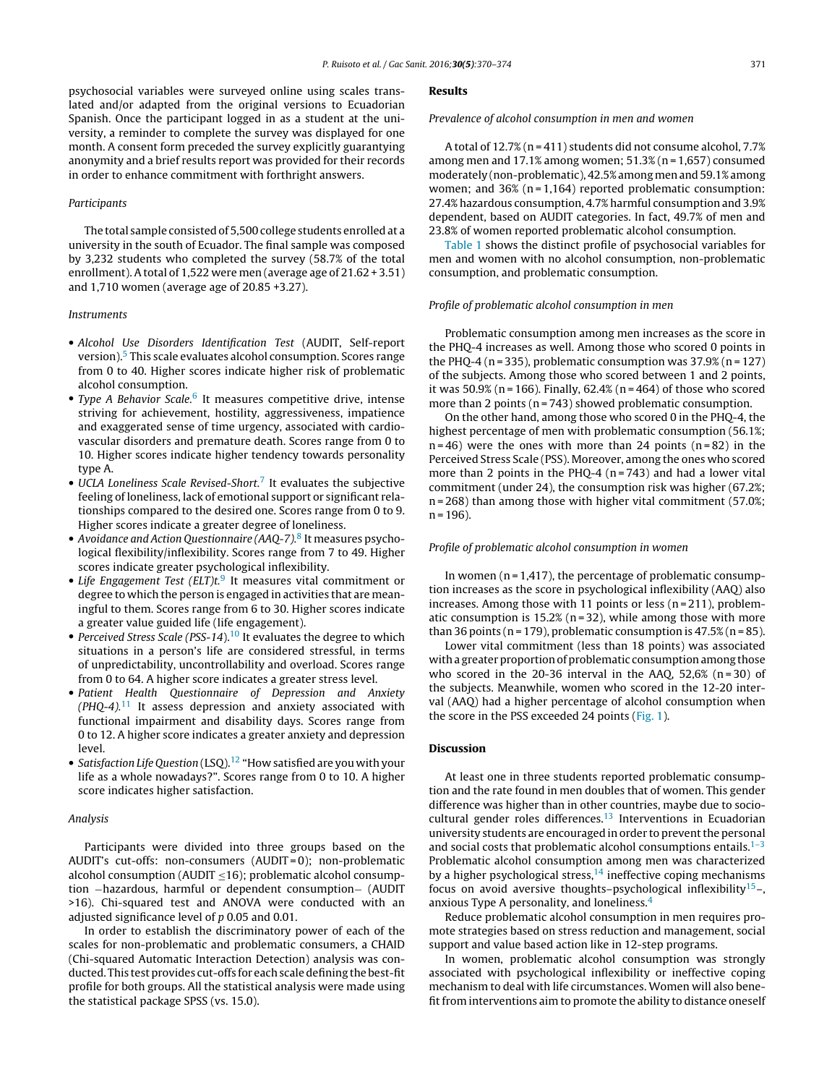psychosocial variables were surveyed online using scales translated and/or adapted from the original versions to Ecuadorian Spanish. Once the participant logged in as a student at the university, a reminder to complete the survey was displayed for one month. A consent form preceded the survey explicitly guarantying anonymity and a brief results report was provided for their records in order to enhance commitment with forthright answers.

#### Participants

The total sample consisted of 5,500 college students enrolled at a university in the south of Ecuador. The final sample was composed by 3,232 students who completed the survey (58.7% of the total enrollment). A total of 1,522 were men (average age of 21.62 + 3.51) and 1,710 women (average age of 20.85 +3.27).

#### Instruments

- Alcohol Use Disorders Identification Test (AUDIT, Self-report version).[5](#page-4-0) This scale evaluates alcohol consumption. Scores range from 0 to 40. Higher scores indicate higher risk of problematic alcohol consumption.
- Type A Behavior Scale.<sup>[6](#page-4-0)</sup> It measures competitive drive, intense striving for achievement, hostility, aggressiveness, impatience and exaggerated sense of time urgency, associated with cardiovascular disorders and premature death. Scores range from 0 to 10. Higher scores indicate higher tendency towards personality type A.
- UCLA Loneliness Scale Revised-Short.<sup>[7](#page-4-0)</sup> It evaluates the subjective feeling of loneliness, lack of emotional support or significant relationships compared to the desired one. Scores range from 0 to 9. Higher scores indicate a greater degree of loneliness.
- Avoidance and Action Questionnaire (AAQ-7).<sup>[8](#page-4-0)</sup> It measures psychological flexibility/inflexibility. Scores range from 7 to 49. Higher scores indicate greater psychological inflexibility.
- Life Engagement Test (ELT)t.<sup>[9](#page-4-0)</sup> It measures vital commitment or degree to which the person is engaged in activities that are meaningful to them. Scores range from 6 to 30. Higher scores indicate a greater value guided life (life engagement).
- Perceived Stress Scale (PSS-14).<sup>[10](#page-4-0)</sup> It evaluates the degree to which situations in a person's life are considered stressful, in terms of unpredictability, uncontrollability and overload. Scores range from 0 to 64. A higher score indicates a greater stress level.
- Patient Health Questionnaire of Depression and Anxiety  $(PHQ-4).<sup>11</sup>$  $(PHQ-4).<sup>11</sup>$  $(PHQ-4).<sup>11</sup>$  It assess depression and anxiety associated with functional impairment and disability days. Scores range from 0 to 12. A higher score indicates a greater anxiety and depression level.
- Satisfaction Life Question  $(LSO)$ .<sup>[12](#page-4-0)</sup> "How satisfied are you with your life as a whole nowadays?". Scores range from 0 to 10. A higher score indicates higher satisfaction.

#### Analysis

Participants were divided into three groups based on the AUDIT's cut-offs: non-consumers (AUDIT = 0); non-problematic alcohol consumption (AUDIT  $\leq$ 16); problematic alcohol consumption −hazardous, harmful or dependent consumption− (AUDIT >16). Chi-squared test and ANOVA were conducted with an adjusted significance level of p 0.05 and 0.01.

In order to establish the discriminatory power of each of the scales for non-problematic and problematic consumers, a CHAID (Chi-squared Automatic Interaction Detection) analysis was conducted. This test provides cut-offs for each scale defining the best-fit profile for both groups. All the statistical analysis were made using the statistical package SPSS (vs. 15.0).

#### Results

Prevalence of alcohol consumption in men and women

A total of 12.7% (n = 411) students did not consume alcohol, 7.7% among men and  $17.1\%$  among women;  $51.3\%$  (n = 1,657) consumed moderately (non-problematic), 42.5% among men and 59.1% among women; and  $36\%$  (n = 1,164) reported problematic consumption: 27.4% hazardous consumption, 4.7% harmful consumption and 3.9% dependent, based on AUDIT categories. In fact, 49.7% of men and 23.8% of women reported problematic alcohol consumption.

[Table](#page-3-0) 1 shows the distinct profile of psychosocial variables for men and women with no alcohol consumption, non-problematic consumption, and problematic consumption.

#### Profile of problematic alcohol consumption in men

Problematic consumption among men increases as the score in the PHQ-4 increases as well. Among those who scored 0 points in the PHQ-4 (n = 335), problematic consumption was  $37.9\%$  (n = 127) of the subjects. Among those who scored between 1 and 2 points, it was  $50.9\%$  (n = 166). Finally,  $62.4\%$  (n = 464) of those who scored more than 2 points (n = 743) showed problematic consumption.

On the other hand, among those who scored 0 in the PHQ-4, the highest percentage of men with problematic consumption (56.1%;  $n = 46$ ) were the ones with more than 24 points  $(n = 82)$  in the Perceived Stress Scale (PSS). Moreover, among the ones who scored more than 2 points in the PHQ-4  $(n=743)$  and had a lower vital commitment (under 24), the consumption risk was higher (67.2%; n = 268) than among those with higher vital commitment (57.0%;  $n = 196$ ).

#### Profile of problematic alcohol consumption in women

In women ( $n = 1,417$ ), the percentage of problematic consumption increases as the score in psychological inflexibility (AAQ) also increases. Among those with 11 points or less ( $n = 211$ ), problematic consumption is  $15.2%$  (n = 32), while among those with more than 36 points ( $n = 179$ ), problematic consumption is 47.5% ( $n = 85$ ).

Lower vital commitment (less than 18 points) was associated with a greater proportion of problematic consumption among those who scored in the 20-36 interval in the AAQ,  $52,6\%$  (n=30) of the subjects. Meanwhile, women who scored in the 12-20 interval (AAQ) had a higher percentage of alcohol consumption when the score in the PSS exceeded 24 points [\(Fig.](#page-2-0) 1).

## Discussion

At least one in three students reported problematic consumption and the rate found in men doubles that of women. This gender difference was higher than in other countries, maybe due to sociocultural gender roles differences. $13$  Interventions in Ecuadorian university students are encouraged in order to prevent the personal and social costs that problematic alcohol consumptions entails. $1-3$ Problematic alcohol consumption among men was characterized by a higher psychological stress,  $14$  ineffective coping mechanisms focus on avoid aversive thoughts–psychological inflexibility<sup>[15](#page-4-0)</sup>–, anxious Type A personality, and loneliness.[4](#page-4-0)

Reduce problematic alcohol consumption in men requires promote strategies based on stress reduction and management, social support and value based action like in 12-step programs.

In women, problematic alcohol consumption was strongly associated with psychological inflexibility or ineffective coping mechanism to deal with life circumstances. Women will also benefit from interventions aim to promote the ability to distance oneself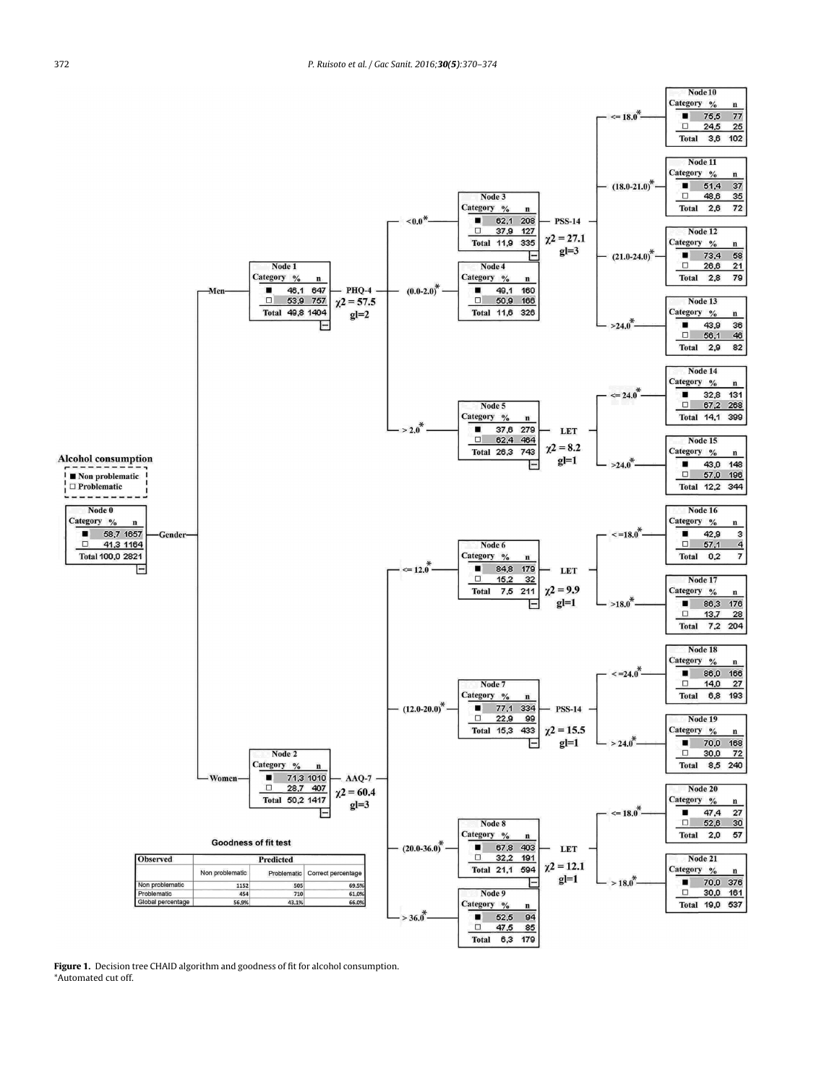<span id="page-2-0"></span>

Figure 1. Decision tree CHAID algorithm and goodness of fit for alcohol consumption. \*Automated cut off.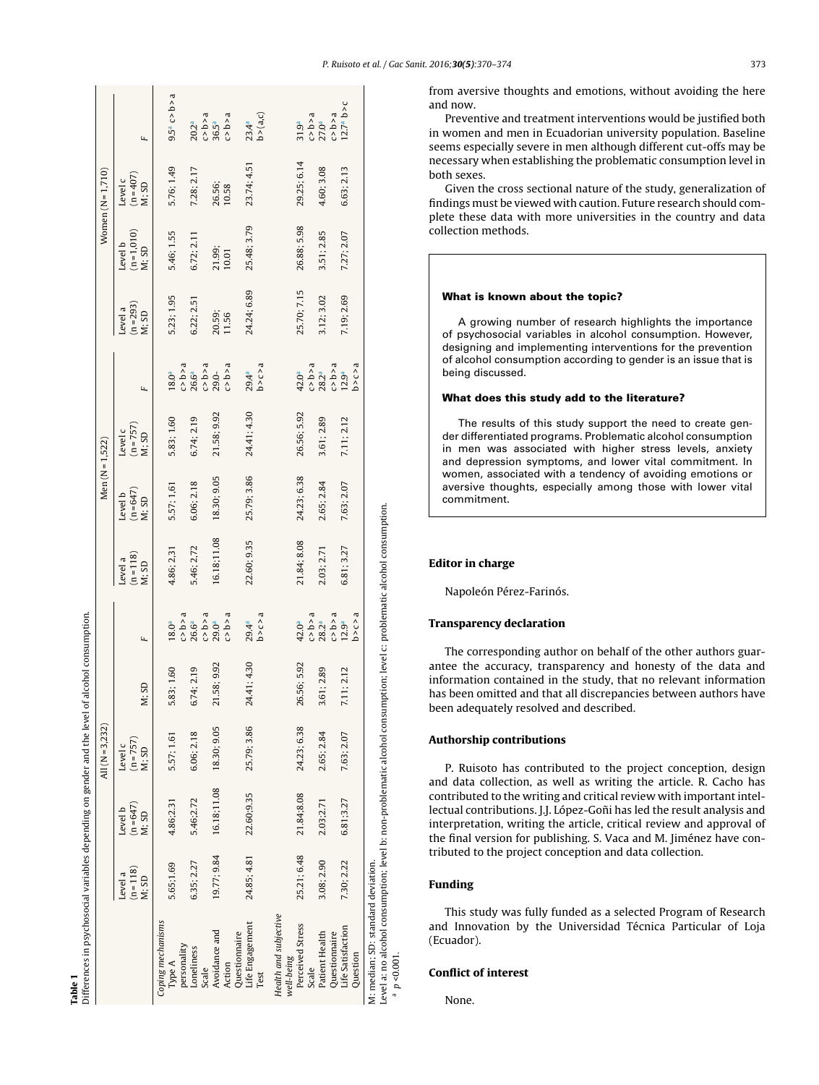| ١<br>.<br>.<br>.<br>$\ddot{\phantom{a}}$<br>i<br> <br> <br> <br>j<br>֧֧֧֧֧֧֧֧֧ׅ֧֧֧֧֧֛֛֛֛֛֛֛֛֛֚֚֚֚֚֚֚֚֚֚֚֚֚֚֚֚֚֚֚֚֚֚֝֝֓֝֓֝֓֝֓֝֬֝֓֝֬֜֝֬֝֬֝֬֜<br>֧֧֛֧֧֧֚֚֚֚֚֚֚֜֘֩<br>l<br>i<br>ī<br>$\ddot{}}$<br>I<br>i<br>I<br>١ |                     |
|-----------------------------------------------------------------------------------------------------------------------------------------------------------------------------------------------------------------|---------------------|
| ة<br>م<br>ייני<br>י<br>II<br>$\overline{\phantom{a}}$                                                                                                                                                           | ı<br>ı<br>í<br>ner. |

<span id="page-3-0"></span>

|                                                                                                                                                                |                               |                                 | All $(N = 3, 232)$              |                |                                                                                                                                                                                                                         |                                 | Men $(N = 1, 522)$            |                                   |                                                                                                                         |                               |                                 | Women $(N=1,710)$             |                                                    |
|----------------------------------------------------------------------------------------------------------------------------------------------------------------|-------------------------------|---------------------------------|---------------------------------|----------------|-------------------------------------------------------------------------------------------------------------------------------------------------------------------------------------------------------------------------|---------------------------------|-------------------------------|-----------------------------------|-------------------------------------------------------------------------------------------------------------------------|-------------------------------|---------------------------------|-------------------------------|----------------------------------------------------|
|                                                                                                                                                                | $(n=118)$<br>Level a<br>M; SD | $(n = 647)$<br>Level b<br>M; SD | $(n = 757)$<br>Level c<br>N: SD | M; SD          | щ                                                                                                                                                                                                                       | $(n = 118)$<br>M; SD<br>Level a | $(n=647)$<br>M; SD<br>Level b | Level c<br>( $n = 757$ )<br>M; SD | ц                                                                                                                       | $(n=293)$<br>Level a<br>M; SD | $(n=1,010)$<br>M; SD<br>Level b | $(n=407)$<br>M; SD<br>Level c | ц                                                  |
| Coping mechanisms<br>personality<br>lype A                                                                                                                     | 5.65;1.69                     | 4.86;2.31                       | 5.57; 1.61                      | 5.83; 1.60     |                                                                                                                                                                                                                         | 4.86; 2,31                      | 5.57; 1,61                    | 5.83; 1.60                        |                                                                                                                         | 5.23; 1.95                    | 5.46; 1.55                      | 5.76; 1.49                    | $9.5a$ c > b > a                                   |
| Loneliness<br>Scale                                                                                                                                            | 6.35; 2.27                    | 5.46;2.72                       | 6.06; 2.18                      | 6.74; 2.19     |                                                                                                                                                                                                                         | 5.46; 2,72                      | 6.06; 2.18                    | 6.74; 2.19                        | $\begin{array}{l} 18.0^{\mathrm{a}} \\ 0.5 \text{a} \\ 26.6^{\mathrm{a}} \\ 29.0 \text{a} \\ 29.0 \text{c} \end{array}$ | 6.22; 2.51                    | 6.72; 2.11                      | 7.28; 2.17                    |                                                    |
| Avoidance and<br>Questionnaire<br>Action                                                                                                                       | 19.77; 9.84                   | 16.18;11.08                     | 18.30; 9.05                     | 9.92<br>21.58; | $\begin{array}{l} 18.0^{\mathrm{a}} \\ 0.5 \text{a} \\ 26.6^{\mathrm{a}} \\ 29.0^{\mathrm{a}} \\ \text{C} \times \text{D} \times \text{a} \\ 29.0^{\mathrm{a}} \\ \text{C} \times \text{D} \times \text{a} \end{array}$ | 16.18,11.08                     | 18.30; 9.05                   | 21.58; 9.92                       | s < d <                                                                                                                 | 20.59;<br>11.56               | 21.99;<br>10.01                 | 26.56;<br>10.58               | $20.2^a$<br>$c > b > a$<br>$36.5^a$<br>$c > b > a$ |
| Life Engagement<br>Test                                                                                                                                        | 24.85; 4.81                   | 22.60;9.35                      | 25.79; 3.86                     | .4.30<br>24.41 | b > c > a<br>$29.4^{a}$                                                                                                                                                                                                 | 22.60; 9.35                     | 25.79; 3.86                   | 24.41; 4.30                       | b > c > a<br>29.4ª                                                                                                      | 24.24; 6.89                   | 25.48; 3.79                     | 23.74; 4.51                   | $23.4^{a}$<br>b > (a,c)                            |
| Health and subjective<br>Perceived Stress<br>well-being                                                                                                        | 25.21; 6.48                   | 21.84;8.08                      | 24.23; 6.38                     | 5.92<br>26.56  |                                                                                                                                                                                                                         | 21.84; 8.08                     | 24.23; 6.38                   | 26.56; 5.92                       | 42.0 <sup>a</sup>                                                                                                       | 25.70; 7.15                   | 26.88; 5.98                     | 29.25; 6.14                   |                                                    |
| Patient Health<br>Questionnaire<br>Scale                                                                                                                       | 3.08; 2.90                    | 2.03;2.71                       | 2.65; 2.84                      | 3.61; 2.89     | $42.0^a$<br>$0.5$ $b$ $a$<br>$0.2^a$<br>$0.5$ $b$ $a$<br>$0.2$<br>$0.5$ $a$<br>$0.5$ $a$<br>$b$ $b$ $>$ $c$ $>$ $a$                                                                                                     | 2.03; 2.71                      | 2.65; 2.84                    | 3.61; 2.89                        | c > b > a<br>$28.2^{a}$                                                                                                 | 3.12; 3.02                    | 3.51; 2.85                      | 4.60; 3.08                    | $31.9a$<br>$C > b > a$<br>$C > b > a$              |
| Life Satisfaction<br>Question                                                                                                                                  | 7.30; 2.22                    | 6.81;3.27                       | 7.63; 2.07                      | 7.11; 2.12     |                                                                                                                                                                                                                         | 6.81; 3.27                      | 7.63; 2.07                    | 7.11; 2.12                        | b > c > a<br>$c > b > a$<br>12.9a                                                                                       | 7.19; 2.69                    | 7.27; 2.07                      | 6.63; 2.13                    | 12.7 <sup>a</sup> b > c                            |
| Level a: no alcohol consumption; level b: non-problematic alcohol consumption; level c: problematic alcohol consumption.<br>M: median; SD: standard deviation. |                               |                                 |                                 |                |                                                                                                                                                                                                                         |                                 |                               |                                   |                                                                                                                         |                               |                                 |                               |                                                    |

from aversive thoughts and emotions, without avoiding the here and now.

Preventive and treatment interventions would be justified both in women and men in Ecuadorian university population. Baseline seems especially severe in men although different cut-offs may be necessary when establishing the problematic consumption level in both sexes.

Given the cross sectional nature of the study, generalization of findings must be viewed with caution. Future research should complete these data with more universities in the country and data collection methods.

## What is known about the topic?

A growing number of research highlights the importance of psychosocial variables in alcohol consumption. However, designing and implementing interventions for the prevention of alcohol consumption according to gender is an issue that is being discussed.

## What does this study add to the literature?

The results of this study support the need to create gender differentiated programs. Problematic alcohol consumption in men was associated with higher stress levels, anxiety and depression symptoms, and lower vital commitment. In women, associated with a tendency of avoiding emotions or aversive thoughts, especially among those with lower vital commitment.

#### Editor in charge

Napoleón Pérez-Farinós.

#### Transparency declaration

The corresponding author on behalf of the other authors guarantee the accuracy, transparency and honesty of the data and information contained in the study, that no relevant information has been omitted and that all discrepancies between authors have been adequately resolved and described.

#### Authorship contributions

P. Ruisoto has contributed to the project conception, design and data collection, as well as writing the article. R. Cacho has contributed to the writing and critical review with important intellectual contributions. J.J. López-Goñi has led the result analysis and interpretation, writing the article, critical review and approval of the final version for publishing. S. Vaca and M. Jiménez have contributed to the project conception and data collection.

## Funding

Level a: no alcohol consumption; level b: non-problematic alcohol consumption; level c: problematic alcohol consumption.

 $_{\rm{a}}$   $p < 0.001$ .

This study was fully funded as a selected Program of Research and Innovation by the Universidad Técnica Particular of Loja (Ecuador).

## Conflict of interest

None.